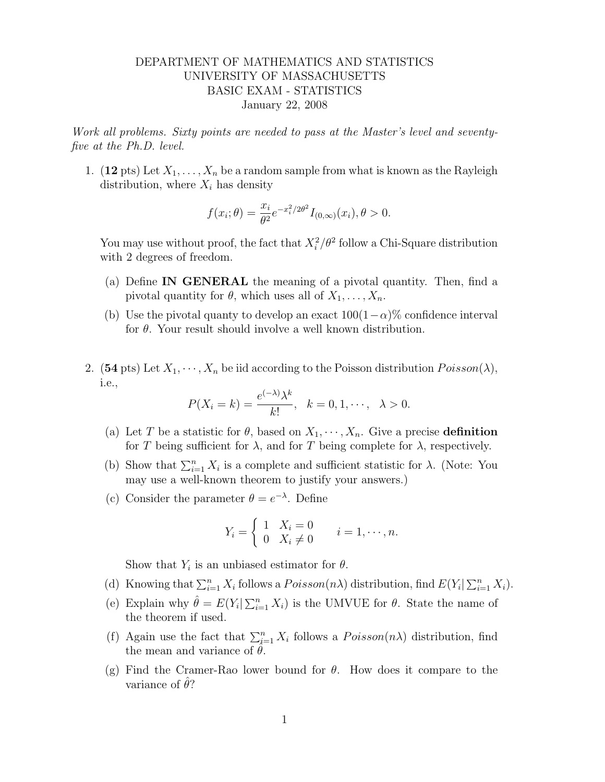## DEPARTMENT OF MATHEMATICS AND STATISTICS UNIVERSITY OF MASSACHUSETTS BASIC EXAM - STATISTICS January 22, 2008

Work all problems. Sixty points are needed to pass at the Master's level and seventyfive at the Ph.D. level.

1. (12 pts) Let  $X_1, \ldots, X_n$  be a random sample from what is known as the Rayleigh distribution, where  $X_i$  has density

$$
f(x_i; \theta) = \frac{x_i}{\theta^2} e^{-x_i^2/2\theta^2} I_{(0,\infty)}(x_i), \theta > 0.
$$

You may use without proof, the fact that  $X_i^2/\theta^2$  follow a Chi-Square distribution with 2 degrees of freedom.

- (a) Define IN GENERAL the meaning of a pivotal quantity. Then, find a pivotal quantity for  $\theta$ , which uses all of  $X_1, \ldots, X_n$ .
- (b) Use the pivotal quanty to develop an exact  $100(1-\alpha)\%$  confidence interval for  $\theta$ . Your result should involve a well known distribution.
- 2. (54 pts) Let  $X_1, \dots, X_n$  be iid according to the Poisson distribution  $Poisson(\lambda)$ , i.e.,

$$
P(X_i = k) = \frac{e^{(-\lambda)}\lambda^k}{k!}, \quad k = 0, 1, \cdots, \quad \lambda > 0.
$$

- (a) Let T be a statistic for  $\theta$ , based on  $X_1, \dots, X_n$ . Give a precise definition for T being sufficient for  $\lambda$ , and for T being complete for  $\lambda$ , respectively.
- (b) Show that  $\sum_{i=1}^{n} X_i$  is a complete and sufficient statistic for  $\lambda$ . (Note: You may use a well-known theorem to justify your answers.)
- (c) Consider the parameter  $\theta = e^{-\lambda}$ . Define

$$
Y_i = \begin{cases} 1 & X_i = 0 \\ 0 & X_i \neq 0 \end{cases} \quad i = 1, \dots, n.
$$

Show that  $Y_i$  is an unbiased estimator for  $\theta$ .

- (d) Knowing that  $\sum_{i=1}^n X_i$  follows a  $Poisson(n\lambda)$  distribution, find  $E(Y_i | \sum_{i=1}^n X_i)$ .
- (e) Explain why  $\hat{\theta} = E(Y_i | \sum_{i=1}^n X_i)$  is the UMVUE for  $\theta$ . State the name of the theorem if used.
- (f) Again use the fact that  $\sum_{i=1}^{n} X_i$  follows a  $Poisson(n\lambda)$  distribution, find the mean and variance of  $\theta$ .
- (g) Find the Cramer-Rao lower bound for  $\theta$ . How does it compare to the variance of  $\theta$ ?